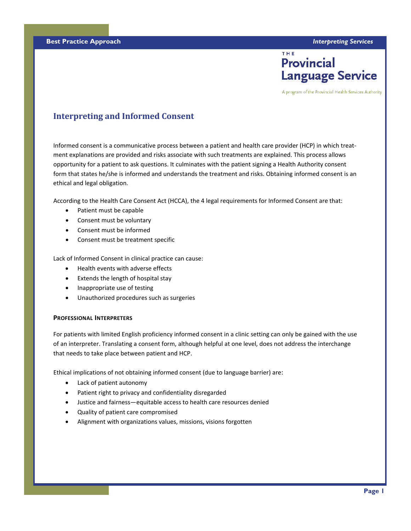# THE **Provincial Language Service**

A program of the Provincial Health Services Authority

# **Interpreting and Informed Consent**

Informed consent is a communicative process between a patient and health care provider (HCP) in which treat‐ ment explanations are provided and risks associate with such treatments are explained. This process allows opportunity for a patient to ask questions. It culminates with the patient signing a Health Authority consent form that states he/she is informed and understands the treatment and risks. Obtaining informed consent is an ethical and legal obligation.

According to the Health Care Consent Act (HCCA), the 4 legal requirements for Informed Consent are that:

- Patient must be capable
- Consent must be voluntary
- Consent must be informed
- Consent must be treatment specific

Lack of Informed Consent in clinical practice can cause:

- Health events with adverse effects
- Extends the length of hospital stay
- Inappropriate use of testing
- Unauthorized procedures such as surgeries

#### **PROFESSIONAL INTERPRETERS**

For patients with limited English proficiency informed consent in a clinic setting can only be gained with the use of an interpreter. Translating a consent form, although helpful at one level, does not address the interchange that needs to take place between patient and HCP.

Ethical implications of not obtaining informed consent (due to language barrier) are:

- Lack of patient autonomy
- Patient right to privacy and confidentiality disregarded
- Justice and fairness—equitable access to health care resources denied
- Quality of patient care compromised
- Alignment with organizations values, missions, visions forgotten